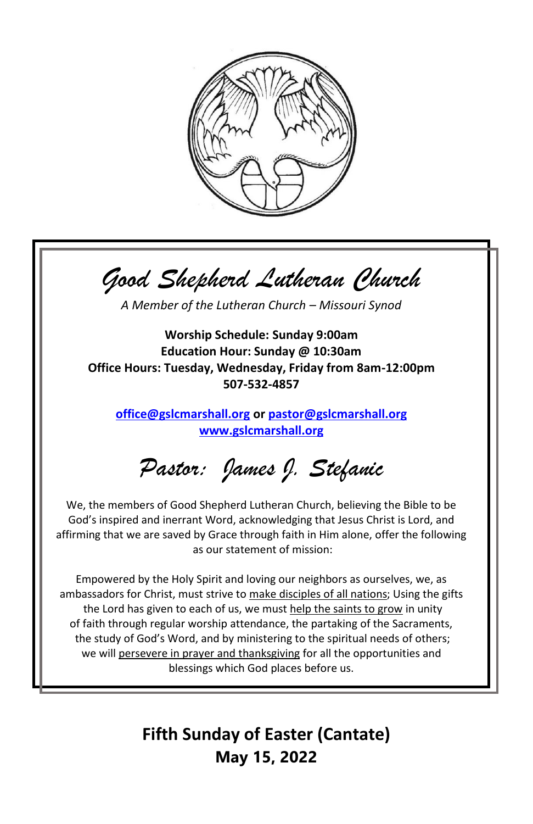

*Good Shepherd Lutheran Church*

*A Member of the Lutheran Church – Missouri Synod*

**Worship Schedule: Sunday 9:00am Education Hour: Sunday @ 10:30am Office Hours: Tuesday, Wednesday, Friday from 8am-12:00pm 507-532-4857**

**[office@gslcmarshall.org](mailto:office@gslcmarshall.org) o[r pastor@gslcmarshall.org](mailto:pastor@gslcmarshall.org) [www.gslcmarshall.org](http://www.gslcmarshall.org/)**

*Pastor: James J. Stefanic*

We, the members of Good Shepherd Lutheran Church, believing the Bible to be God's inspired and inerrant Word, acknowledging that Jesus Christ is Lord, and affirming that we are saved by Grace through faith in Him alone, offer the following as our statement of mission:

Empowered by the Holy Spirit and loving our neighbors as ourselves, we, as ambassadors for Christ, must strive to make disciples of all nations; Using the gifts the Lord has given to each of us, we must help the saints to grow in unity of faith through regular worship attendance, the partaking of the Sacraments, the study of God's Word, and by ministering to the spiritual needs of others; we will persevere in prayer and thanksgiving for all the opportunities and blessings which God places before us.

> **Fifth Sunday of Easter (Cantate) May 15, 2022**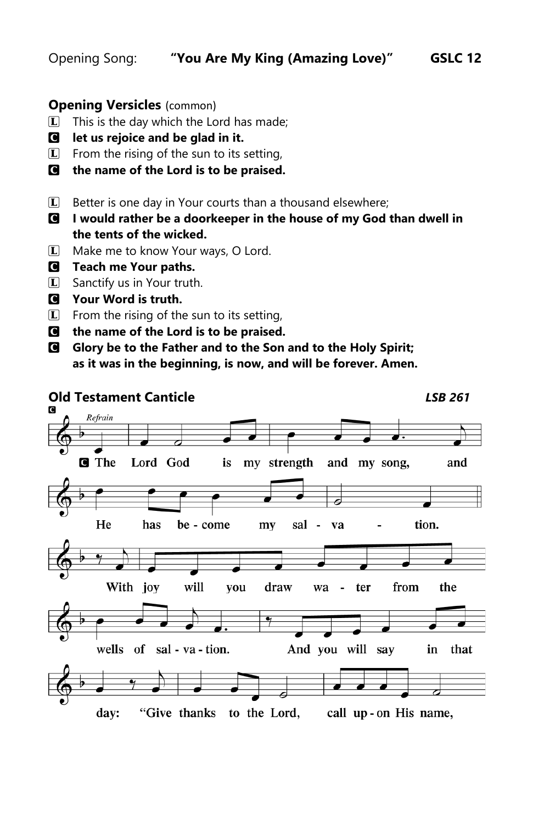# **Opening Versicles** (common)

- $\Box$  This is the day which the Lord has made;
- C **let us rejoice and be glad in it.**
- $\mathbb{L}$  From the rising of the sun to its setting,
- C **the name of the Lord is to be praised.**
- $\Box$  Better is one day in Your courts than a thousand elsewhere;
- C **I would rather be a doorkeeper in the house of my God than dwell in the tents of the wicked.**
- $\Box$  Make me to know Your ways, O Lord.
- C **Teach me Your paths.**
- $\boxed{\mathbf{L}}$  Sanctify us in Your truth.
- C **Your Word is truth.**
- $\mathbb{L}$  From the rising of the sun to its setting,
- C **the name of the Lord is to be praised.**
- C **Glory be to the Father and to the Son and to the Holy Spirit; as it was in the beginning, is now, and will be forever. Amen.**



"Give thanks to the Lord, day: call up-on His name,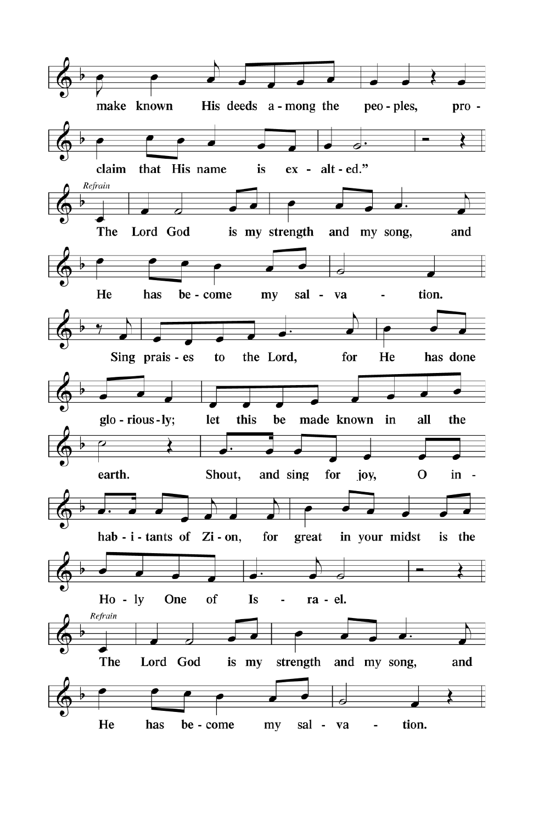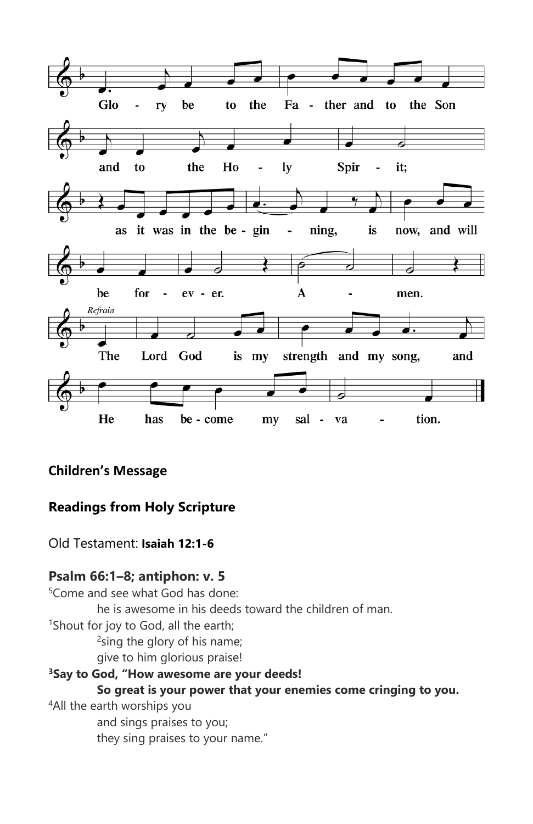

# **Children's Message**

# **Readings from Holy Scripture**

Old Testament: **Isaiah 12:1-6**

# **Psalm 66:1–8; antiphon: v. 5**

<sup>5</sup>Come and see what God has done: he is awesome in his deeds toward the children of man. <sup>1</sup>Shout for joy to God, all the earth; <sup>2</sup> sing the glory of his name; give to him glorious praise! **<sup>3</sup>Say to God, "How awesome are your deeds! So great is your power that your enemies come cringing to you.** <sup>4</sup>All the earth worships you

and sings praises to you; they sing praises to your name."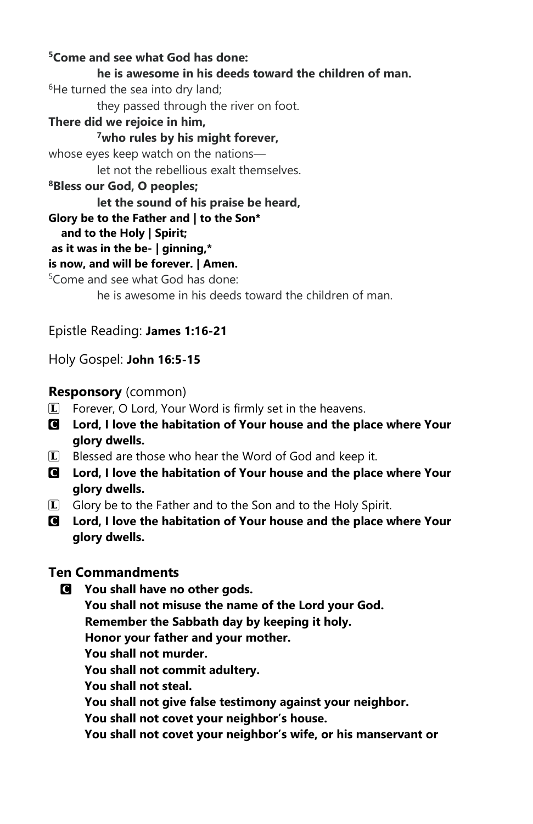**<sup>5</sup>Come and see what God has done: he is awesome in his deeds toward the children of man.**  $6$ He turned the sea into dry land: they passed through the river on foot. **There did we rejoice in him, <sup>7</sup>who rules by his might forever,** whose eyes keep watch on the nations let not the rebellious exalt themselves. **<sup>8</sup>Bless our God, O peoples; let the sound of his praise be heard, Glory be to the Father and | to the Son\* and to the Holy | Spirit; as it was in the be- | ginning,\* is now, and will be forever. | Amen.**  <sup>5</sup>Come and see what God has done: he is awesome in his deeds toward the children of man.

Epistle Reading: **James 1:16-21**

Holy Gospel: **John 16:5-15**

# **Responsory** (common)

- $\mathbb{L}$  Forever, O Lord, Your Word is firmly set in the heavens.
- C **Lord, I love the habitation of Your house and the place where Your glory dwells.**
- $\Box$  Blessed are those who hear the Word of God and keep it.
- C **Lord, I love the habitation of Your house and the place where Your glory dwells.**
- $\Box$  Glory be to the Father and to the Son and to the Holy Spirit.
- C **Lord, I love the habitation of Your house and the place where Your glory dwells.**

# **Ten Commandments**

- C **You shall have no other gods.**
	- **You shall not misuse the name of the Lord your God.**

**Remember the Sabbath day by keeping it holy.**

**Honor your father and your mother.**

- **You shall not murder.**
- **You shall not commit adultery.**
- **You shall not steal.**

**You shall not give false testimony against your neighbor.**

**You shall not covet your neighbor's house.**

**You shall not covet your neighbor's wife, or his manservant or**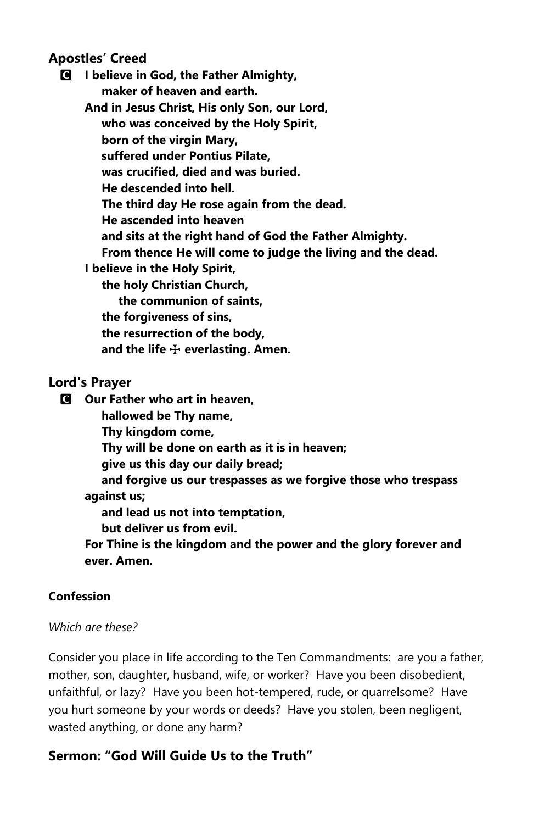## **Apostles' Creed**

C **I believe in God, the Father Almighty, maker of heaven and earth.**

**And in Jesus Christ, His only Son, our Lord, who was conceived by the Holy Spirit, born of the virgin Mary, suffered under Pontius Pilate, was crucified, died and was buried. He descended into hell. The third day He rose again from the dead. He ascended into heaven and sits at the right hand of God the Father Almighty. From thence He will come to judge the living and the dead. I believe in the Holy Spirit, the holy Christian Church, the communion of saints, the forgiveness of sins,**

 **the resurrection of the body, and the life** T **everlasting. Amen.**

## **Lord's Prayer**

C **Our Father who art in heaven,**

 **hallowed be Thy name,**

 **Thy kingdom come,**

 **Thy will be done on earth as it is in heaven;**

 **give us this day our daily bread;**

 **and forgive us our trespasses as we forgive those who trespass against us;**

 **and lead us not into temptation,**

 **but deliver us from evil.**

**For Thine is the kingdom and the power and the glory forever and ever. Amen.**

## **Confession**

## *Which are these?*

Consider you place in life according to the Ten Commandments: are you a father, mother, son, daughter, husband, wife, or worker? Have you been disobedient, unfaithful, or lazy? Have you been hot-tempered, rude, or quarrelsome? Have you hurt someone by your words or deeds? Have you stolen, been negligent, wasted anything, or done any harm?

# **Sermon: "God Will Guide Us to the Truth"**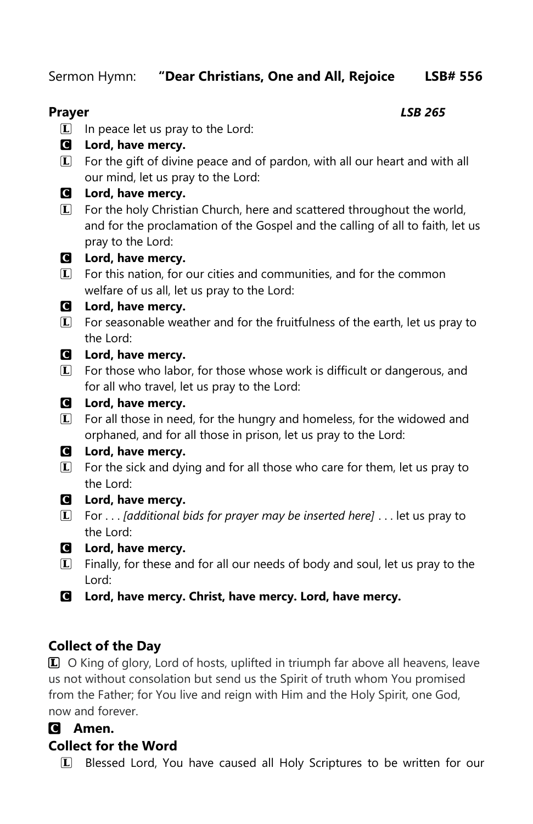Sermon Hymn: **"Dear Christians, One and All, Rejoice LSB# 556**

# **Prayer** *LSB 265*

- $\Box$  In peace let us pray to the Lord:
- C **Lord, have mercy.**
- $\mathbb{L}$  For the gift of divine peace and of pardon, with all our heart and with all our mind, let us pray to the Lord:
- C **Lord, have mercy.**
- **L** For the holy Christian Church, here and scattered throughout the world, and for the proclamation of the Gospel and the calling of all to faith, let us pray to the Lord:

# C **Lord, have mercy.**

**L** For this nation, for our cities and communities, and for the common welfare of us all, let us pray to the Lord:

# C **Lord, have mercy.**

 $I$  For seasonable weather and for the fruitfulness of the earth, let us pray to the Lord:

# C **Lord, have mercy.**

 $\Box$  For those who labor, for those whose work is difficult or dangerous, and for all who travel, let us pray to the Lord:

# C **Lord, have mercy.**

 $I$  For all those in need, for the hungry and homeless, for the widowed and orphaned, and for all those in prison, let us pray to the Lord:

# C **Lord, have mercy.**

- $\Box$  For the sick and dying and for all those who care for them, let us pray to the Lord:
- C **Lord, have mercy.**
- L For . . . *[additional bids for prayer may be inserted here]* . . . let us pray to the Lord:
- C **Lord, have mercy.**
- $L$  Finally, for these and for all our needs of body and soul, let us pray to the Lord:
- C **Lord, have mercy. Christ, have mercy. Lord, have mercy.**

# **Collect of the Day**

L O King of glory, Lord of hosts, uplifted in triumph far above all heavens, leave us not without consolation but send us the Spirit of truth whom You promised from the Father; for You live and reign with Him and the Holy Spirit, one God, now and forever.

# C **Amen.**

# **Collect for the Word**

L Blessed Lord, You have caused all Holy Scriptures to be written for our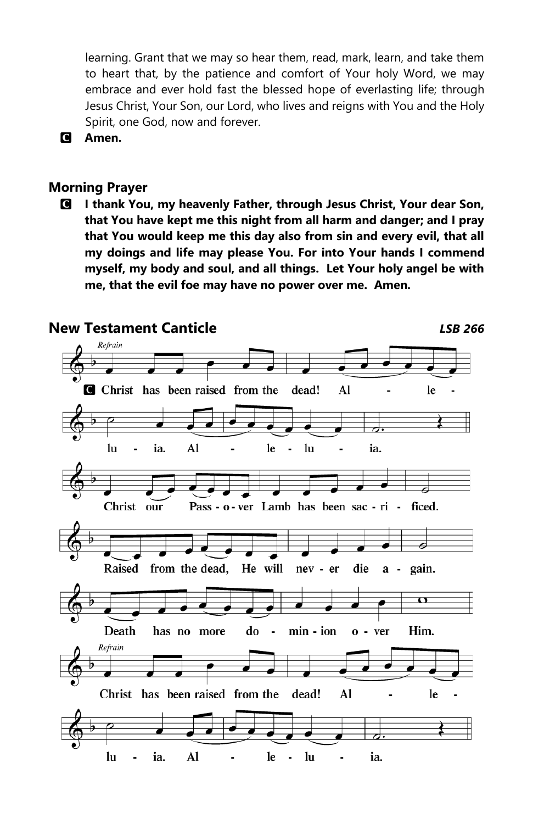learning. Grant that we may so hear them, read, mark, learn, and take them to heart that, by the patience and comfort of Your holy Word, we may embrace and ever hold fast the blessed hope of everlasting life; through Jesus Christ, Your Son, our Lord, who lives and reigns with You and the Holy Spirit, one God, now and forever.



## **Morning Prayer**

C **I thank You, my heavenly Father, through Jesus Christ, Your dear Son, that You have kept me this night from all harm and danger; and I pray that You would keep me this day also from sin and every evil, that all my doings and life may please You. For into Your hands I commend myself, my body and soul, and all things. Let Your holy angel be with me, that the evil foe may have no power over me. Amen.** 

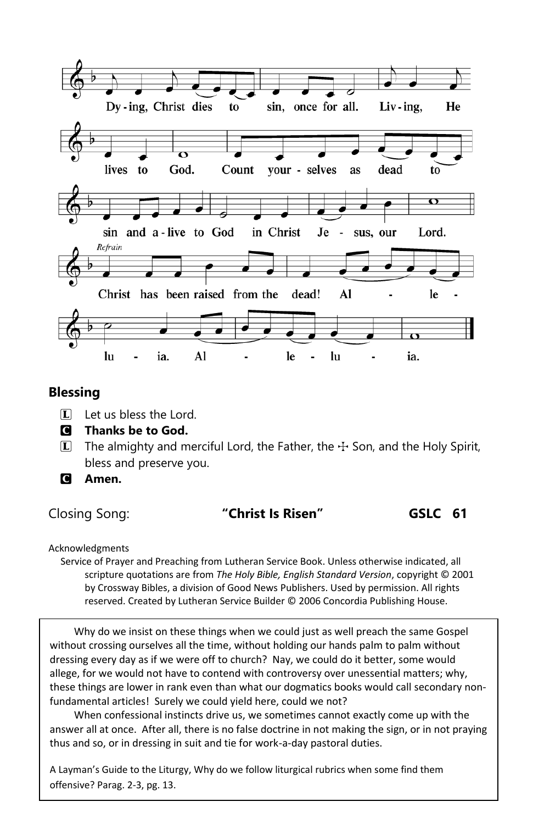

## **Blessing**

- $\Box$  Let us bless the Lord.
- C **Thanks be to God.**
- $\bar{L}$  The almighty and merciful Lord, the Father, the  $\pm$  Son, and the Holy Spirit, bless and preserve you.
- C **Amen.**

# Closing Song: **"Christ Is Risen" GSLC 61**

Acknowledgments

Service of Prayer and Preaching from Lutheran Service Book. Unless otherwise indicated, all scripture quotations are from *The Holy Bible, English Standard Version*, copyright © 2001 by Crossway Bibles, a division of Good News Publishers. Used by permission. All rights reserved. Created by Lutheran Service Builder © 2006 Concordia Publishing House.

Why do we insist on these things when we could just as well preach the same Gospel without crossing ourselves all the time, without holding our hands palm to palm without dressing every day as if we were off to church? Nay, we could do it better, some would allege, for we would not have to contend with controversy over unessential matters; why, these things are lower in rank even than what our dogmatics books would call secondary nonfundamental articles! Surely we could yield here, could we not?

When confessional instincts drive us, we sometimes cannot exactly come up with the answer all at once. After all, there is no false doctrine in not making the sign, or in not praying thus and so, or in dressing in suit and tie for work-a-day pastoral duties.

A Layman's Guide to the Liturgy, Why do we follow liturgical rubrics when some find them offensive? Parag. 2-3, pg. 13.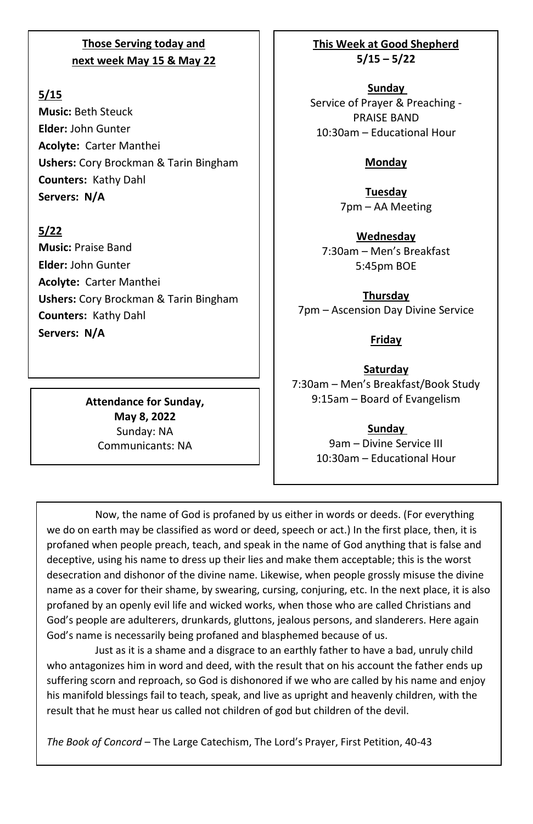## **Those Serving today and next week May 15 & May 22**

## **5/15**

**Music:** Beth Steuck **Elder:** John Gunter **Acolyte:** Carter Manthei **Ushers:** Cory Brockman & Tarin Bingham **Counters:** Kathy Dahl **Servers: N/A**

## **5/22**

**Music:** Praise Band **Elder:** John Gunter **Acolyte:** Carter Manthei **Ushers:** Cory Brockman & Tarin Bingham **Counters:** Kathy Dahl **Servers: N/A**

> **Attendance for Sunday, May 8, 2022** Sunday: NA Communicants: NA

**This Week at Good Shepherd 5/15 – 5/22**

**Sunday**  Service of Prayer & Preaching - PRAISE BAND 10:30am – Educational Hour

## **Monday**

**Tuesday** 7pm – AA Meeting

**Wednesday** 7:30am – Men's Breakfast 5:45pm BOE

**Thursday** 7pm – Ascension Day Divine Service

**Friday**

**Saturday** 7:30am – Men's Breakfast/Book Study 9:15am – Board of Evangelism

> **Sunday**  9am – Divine Service III 10:30am – Educational Hour

Now, the name of God is profaned by us either in words or deeds. (For everything we do on earth may be classified as word or deed, speech or act.) In the first place, then, it is profaned when people preach, teach, and speak in the name of God anything that is false and deceptive, using his name to dress up their lies and make them acceptable; this is the worst desecration and dishonor of the divine name. Likewise, when people grossly misuse the divine name as a cover for their shame, by swearing, cursing, conjuring, etc. In the next place, it is also profaned by an openly evil life and wicked works, when those who are called Christians and God's people are adulterers, drunkards, gluttons, jealous persons, and slanderers. Here again God's name is necessarily being profaned and blasphemed because of us.

Just as it is a shame and a disgrace to an earthly father to have a bad, unruly child who antagonizes him in word and deed, with the result that on his account the father ends up suffering scorn and reproach, so God is dishonored if we who are called by his name and enjoy his manifold blessings fail to teach, speak, and live as upright and heavenly children, with the result that he must hear us called not children of god but children of the devil.

*The Book of Concord* – The Large Catechism, The Lord's Prayer, First Petition, 40-43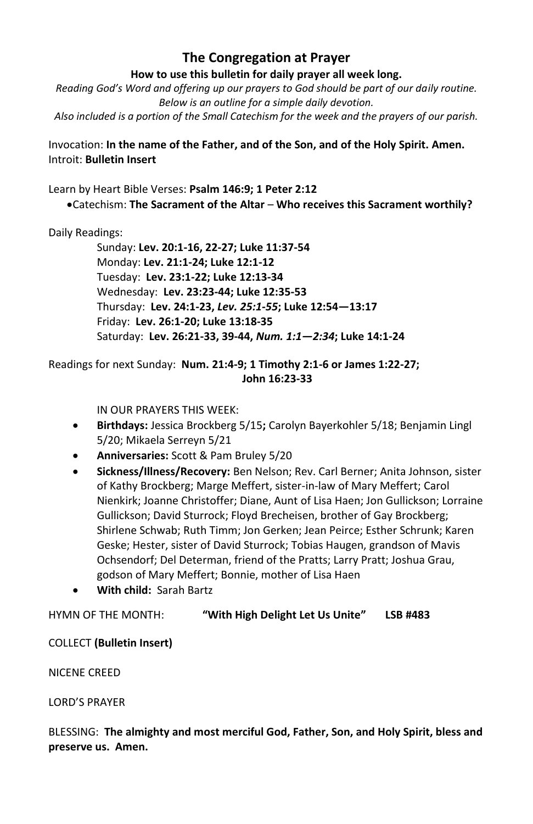## **The Congregation at Prayer**

#### **How to use this bulletin for daily prayer all week long.**

*Reading God's Word and offering up our prayers to God should be part of our daily routine. Below is an outline for a simple daily devotion. Also included is a portion of the Small Catechism for the week and the prayers of our parish.*

Invocation: **In the name of the Father, and of the Son, and of the Holy Spirit. Amen.** Introit: **Bulletin Insert**

Learn by Heart Bible Verses: **Psalm 146:9; 1 Peter 2:12**

•Catechism: **The Sacrament of the Altar** – **Who receives this Sacrament worthily?**

#### Daily Readings:

Sunday: **Lev. 20:1-16, 22-27; Luke 11:37-54** Monday: **Lev. 21:1-24; Luke 12:1-12** Tuesday: **Lev. 23:1-22; Luke 12:13-34** Wednesday: **Lev. 23:23-44; Luke 12:35-53** Thursday: **Lev. 24:1-23,** *Lev. 25:1-55***; Luke 12:54—13:17** Friday: **Lev. 26:1-20; Luke 13:18-35** Saturday: **Lev. 26:21-33, 39-44,** *Num. 1:1—2:34***; Luke 14:1-24**

### Readings for next Sunday: **Num. 21:4-9; 1 Timothy 2:1-6 or James 1:22-27; John 16:23-33**

IN OUR PRAYERS THIS WEEK:

- **Birthdays:** Jessica Brockberg 5/15**;** Carolyn Bayerkohler 5/18; Benjamin Lingl 5/20; Mikaela Serreyn 5/21
- **Anniversaries:** Scott & Pam Bruley 5/20
- **Sickness/Illness/Recovery:** Ben Nelson; Rev. Carl Berner; Anita Johnson, sister of Kathy Brockberg; Marge Meffert, sister-in-law of Mary Meffert; Carol Nienkirk; Joanne Christoffer; Diane, Aunt of Lisa Haen; Jon Gullickson; Lorraine Gullickson; David Sturrock; Floyd Brecheisen, brother of Gay Brockberg; Shirlene Schwab; Ruth Timm; Jon Gerken; Jean Peirce; Esther Schrunk; Karen Geske; Hester, sister of David Sturrock; Tobias Haugen, grandson of Mavis Ochsendorf; Del Determan, friend of the Pratts; Larry Pratt; Joshua Grau, godson of Mary Meffert; Bonnie, mother of Lisa Haen
- **With child:** Sarah Bartz

HYMN OF THE MONTH: **"With High Delight Let Us Unite" LSB #483**

COLLECT **(Bulletin Insert)**

NICENE CREED

LORD'S PRAYER

BLESSING: **The almighty and most merciful God, Father, Son, and Holy Spirit, bless and preserve us. Amen.**